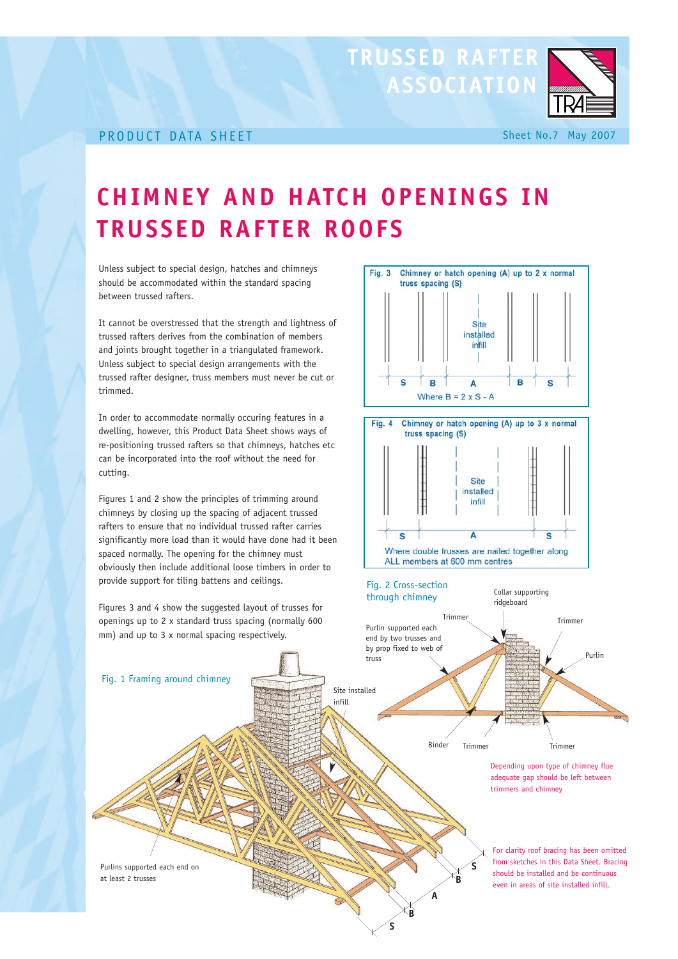## PRODUCT DATA SHEET Sheet No.7 May 2007

## **CHIMNEY AND HATCH OPENINGS IN TRUSSED RAFTER ROOFS**

Fig. 3

Unless subject to special design, hatches and chimneys should be accommodated within the standard spacing between trussed rafters.

It cannot be overstressed that the strength and lightness of trussed rafters derives from the combination of members and joints brought together in a triangulated framework. Unless subject to special design arrangements with the trussed rafter designer, truss members must never be cut or trimmed.

In order to accommodate normally occuring features in a dwelling, however, this Product Data Sheet shows ways of re-positioning trussed rafters so that chimneys, hatches etc can be incorporated into the roof without the need for cutting.

Figures 1 and 2 show the principles of trimming around chimneys by closing up the spacing of adjacent trussed rafters to ensure that no individual trussed rafter carries significantly more load than it would have done had it been spaced normally. The opening for the chimney must obviously then include additional loose timbers in order to provide support for tiling battens and ceilings.

Figures 3 and 4 show the suggested layout of trusses for openings up to 2 x standard truss spacing (normally 600 mm) and up to 3 x normal spacing respectively. For clarity roof bracing has been omitted from sketches in this Data Sheet. Bracing should be installed and be continuous even in areas of site installed infill. Purlins supported each end on at least 2 trusses Site installed infill Purlin Trimmer Trimmer Trimmer | Trimmer Purlin supported each end by two trusses and by prop fixed to web of truss ridgeboard Binder Fig. 1 Framing around chimney Depending upon type of chimney flue adequate gap should be left between trimmers and chimney **B B S A**

**S**

## $\overline{B}$ Š B A  $\mathbf{S}$ Where  $B = 2 \times S - A$ Chimney or hatch opening (A) up to 3 x normal Fig.  $4$ truss spacing (S) Site installed infill  $\Delta$ C

Chimney or hatch opening (A) up to 2 x normal

Site installed infill

Where double trusses are nailed together along ALL members at 600 mm centres



**ASSOCIATION** 

truss spacing (S)

**TRUSSED RAFTER**